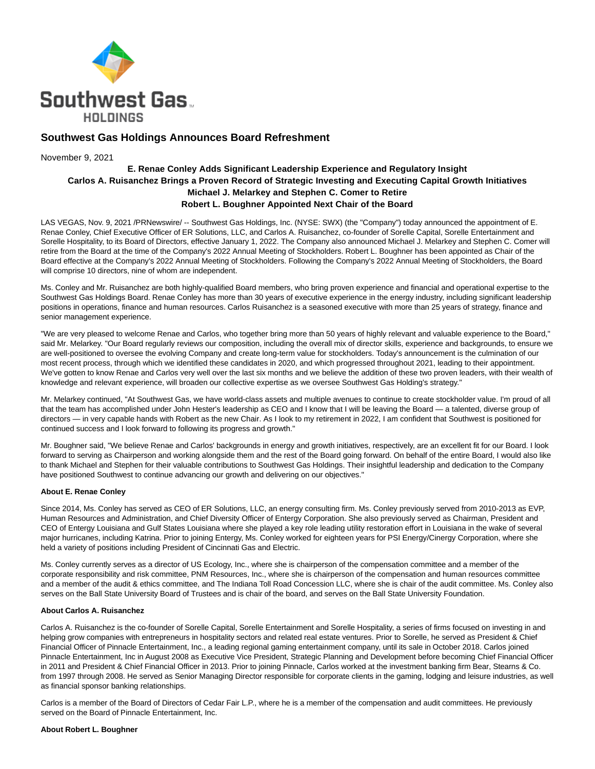

# **Southwest Gas Holdings Announces Board Refreshment**

November 9, 2021

# **E. Renae Conley Adds Significant Leadership Experience and Regulatory Insight Carlos A. Ruisanchez Brings a Proven Record of Strategic Investing and Executing Capital Growth Initiatives Michael J. Melarkey and Stephen C. Comer to Retire Robert L. Boughner Appointed Next Chair of the Board**

LAS VEGAS, Nov. 9, 2021 /PRNewswire/ -- Southwest Gas Holdings, Inc. (NYSE: SWX) (the "Company") today announced the appointment of E. Renae Conley, Chief Executive Officer of ER Solutions, LLC, and Carlos A. Ruisanchez, co-founder of Sorelle Capital, Sorelle Entertainment and Sorelle Hospitality, to its Board of Directors, effective January 1, 2022. The Company also announced Michael J. Melarkey and Stephen C. Comer will retire from the Board at the time of the Company's 2022 Annual Meeting of Stockholders. Robert L. Boughner has been appointed as Chair of the Board effective at the Company's 2022 Annual Meeting of Stockholders. Following the Company's 2022 Annual Meeting of Stockholders, the Board will comprise 10 directors, nine of whom are independent.

Ms. Conley and Mr. Ruisanchez are both highly-qualified Board members, who bring proven experience and financial and operational expertise to the Southwest Gas Holdings Board. Renae Conley has more than 30 years of executive experience in the energy industry, including significant leadership positions in operations, finance and human resources. Carlos Ruisanchez is a seasoned executive with more than 25 years of strategy, finance and senior management experience.

"We are very pleased to welcome Renae and Carlos, who together bring more than 50 years of highly relevant and valuable experience to the Board," said Mr. Melarkey. "Our Board regularly reviews our composition, including the overall mix of director skills, experience and backgrounds, to ensure we are well-positioned to oversee the evolving Company and create long-term value for stockholders. Today's announcement is the culmination of our most recent process, through which we identified these candidates in 2020, and which progressed throughout 2021, leading to their appointment. We've gotten to know Renae and Carlos very well over the last six months and we believe the addition of these two proven leaders, with their wealth of knowledge and relevant experience, will broaden our collective expertise as we oversee Southwest Gas Holding's strategy."

Mr. Melarkey continued, "At Southwest Gas, we have world-class assets and multiple avenues to continue to create stockholder value. I'm proud of all that the team has accomplished under John Hester's leadership as CEO and I know that I will be leaving the Board — a talented, diverse group of directors — in very capable hands with Robert as the new Chair. As I look to my retirement in 2022, I am confident that Southwest is positioned for continued success and I look forward to following its progress and growth."

Mr. Boughner said, "We believe Renae and Carlos' backgrounds in energy and growth initiatives, respectively, are an excellent fit for our Board. I look forward to serving as Chairperson and working alongside them and the rest of the Board going forward. On behalf of the entire Board, I would also like to thank Michael and Stephen for their valuable contributions to Southwest Gas Holdings. Their insightful leadership and dedication to the Company have positioned Southwest to continue advancing our growth and delivering on our objectives."

# **About E. Renae Conley**

Since 2014, Ms. Conley has served as CEO of ER Solutions, LLC, an energy consulting firm. Ms. Conley previously served from 2010-2013 as EVP, Human Resources and Administration, and Chief Diversity Officer of Entergy Corporation. She also previously served as Chairman, President and CEO of Entergy Louisiana and Gulf States Louisiana where she played a key role leading utility restoration effort in Louisiana in the wake of several major hurricanes, including Katrina. Prior to joining Entergy, Ms. Conley worked for eighteen years for PSI Energy/Cinergy Corporation, where she held a variety of positions including President of Cincinnati Gas and Electric.

Ms. Conley currently serves as a director of US Ecology, Inc., where she is chairperson of the compensation committee and a member of the corporate responsibility and risk committee, PNM Resources, Inc., where she is chairperson of the compensation and human resources committee and a member of the audit & ethics committee, and The Indiana Toll Road Concession LLC, where she is chair of the audit committee. Ms. Conley also serves on the Ball State University Board of Trustees and is chair of the board, and serves on the Ball State University Foundation.

# **About Carlos A. Ruisanchez**

Carlos A. Ruisanchez is the co-founder of Sorelle Capital, Sorelle Entertainment and Sorelle Hospitality, a series of firms focused on investing in and helping grow companies with entrepreneurs in hospitality sectors and related real estate ventures. Prior to Sorelle, he served as President & Chief Financial Officer of Pinnacle Entertainment, Inc., a leading regional gaming entertainment company, until its sale in October 2018. Carlos joined Pinnacle Entertainment, Inc in August 2008 as Executive Vice President, Strategic Planning and Development before becoming Chief Financial Officer in 2011 and President & Chief Financial Officer in 2013. Prior to joining Pinnacle, Carlos worked at the investment banking firm Bear, Stearns & Co. from 1997 through 2008. He served as Senior Managing Director responsible for corporate clients in the gaming, lodging and leisure industries, as well as financial sponsor banking relationships.

Carlos is a member of the Board of Directors of Cedar Fair L.P., where he is a member of the compensation and audit committees. He previously served on the Board of Pinnacle Entertainment, Inc.

# **About Robert L. Boughner**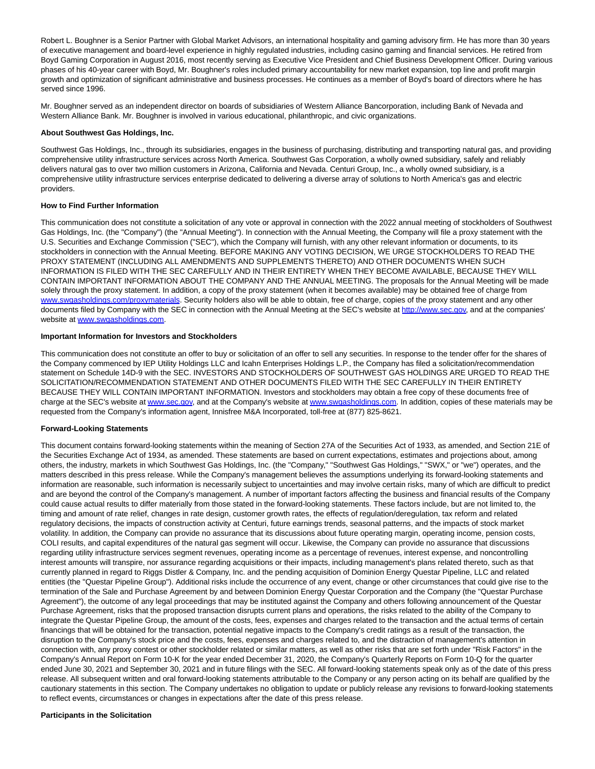Robert L. Boughner is a Senior Partner with Global Market Advisors, an international hospitality and gaming advisory firm. He has more than 30 years of executive management and board-level experience in highly regulated industries, including casino gaming and financial services. He retired from Boyd Gaming Corporation in August 2016, most recently serving as Executive Vice President and Chief Business Development Officer. During various phases of his 40-year career with Boyd, Mr. Boughner's roles included primary accountability for new market expansion, top line and profit margin growth and optimization of significant administrative and business processes. He continues as a member of Boyd's board of directors where he has served since 1996.

Mr. Boughner served as an independent director on boards of subsidiaries of Western Alliance Bancorporation, including Bank of Nevada and Western Alliance Bank. Mr. Boughner is involved in various educational, philanthropic, and civic organizations.

#### **About Southwest Gas Holdings, Inc.**

Southwest Gas Holdings, Inc., through its subsidiaries, engages in the business of purchasing, distributing and transporting natural gas, and providing comprehensive utility infrastructure services across North America. Southwest Gas Corporation, a wholly owned subsidiary, safely and reliably delivers natural gas to over two million customers in Arizona, California and Nevada. Centuri Group, Inc., a wholly owned subsidiary, is a comprehensive utility infrastructure services enterprise dedicated to delivering a diverse array of solutions to North America's gas and electric providers.

#### **How to Find Further Information**

This communication does not constitute a solicitation of any vote or approval in connection with the 2022 annual meeting of stockholders of Southwest Gas Holdings, Inc. (the "Company") (the "Annual Meeting"). In connection with the Annual Meeting, the Company will file a proxy statement with the U.S. Securities and Exchange Commission ("SEC"), which the Company will furnish, with any other relevant information or documents, to its stockholders in connection with the Annual Meeting. BEFORE MAKING ANY VOTING DECISION, WE URGE STOCKHOLDERS TO READ THE PROXY STATEMENT (INCLUDING ALL AMENDMENTS AND SUPPLEMENTS THERETO) AND OTHER DOCUMENTS WHEN SUCH INFORMATION IS FILED WITH THE SEC CAREFULLY AND IN THEIR ENTIRETY WHEN THEY BECOME AVAILABLE, BECAUSE THEY WILL CONTAIN IMPORTANT INFORMATION ABOUT THE COMPANY AND THE ANNUAL MEETING. The proposals for the Annual Meeting will be made solely through the proxy statement. In addition, a copy of the proxy statement (when it becomes available) may be obtained free of charge from [www.swgasholdings.com/proxymaterials.](http://www.swgasholdings.com/proxymaterials) Security holders also will be able to obtain, free of charge, copies of the proxy statement and any other documents filed by Company with the SEC in connection with the Annual Meeting at the SEC's website at [http://www.sec.gov,](http://www.sec.gov/) and at the companies' website at [www.swgasholdings.com.](https://c212.net/c/link/?t=0&l=en&o=3352082-1&h=3722187003&u=http%3A%2F%2Fwww.swgasholdings.com%2F&a=www.swgasholdings.com)

# **Important Information for Investors and Stockholders**

This communication does not constitute an offer to buy or solicitation of an offer to sell any securities. In response to the tender offer for the shares of the Company commenced by IEP Utility Holdings LLC and Icahn Enterprises Holdings L.P., the Company has filed a solicitation/recommendation statement on Schedule 14D-9 with the SEC. INVESTORS AND STOCKHOLDERS OF SOUTHWEST GAS HOLDINGS ARE URGED TO READ THE SOLICITATION/RECOMMENDATION STATEMENT AND OTHER DOCUMENTS FILED WITH THE SEC CAREFULLY IN THEIR ENTIRETY BECAUSE THEY WILL CONTAIN IMPORTANT INFORMATION. Investors and stockholders may obtain a free copy of these documents free of charge at the SEC's website a[t www.sec.gov,](https://c212.net/c/link/?t=0&l=en&o=3352082-1&h=458828548&u=https%3A%2F%2Fprotect-us.mimecast.com%2Fs%2F8YouCqx2koCnqE8jfZq5gX%3Fdomain%3Dsec.gov&a=www.sec.gov) and at the Company's website a[t www.swgasholdings.com.](https://c212.net/c/link/?t=0&l=en&o=3352082-1&h=2153055356&u=https%3A%2F%2Fprotect-us.mimecast.com%2Fs%2F_trJCv2jpwiqQY7ztzzalR%3Fdomain%3Dswgasholdings.com&a=www.swgasholdings.com) In addition, copies of these materials may be requested from the Company's information agent, Innisfree M&A Incorporated, toll-free at (877) 825-8621.

# **Forward-Looking Statements**

This document contains forward-looking statements within the meaning of Section 27A of the Securities Act of 1933, as amended, and Section 21E of the Securities Exchange Act of 1934, as amended. These statements are based on current expectations, estimates and projections about, among others, the industry, markets in which Southwest Gas Holdings, Inc. (the "Company," "Southwest Gas Holdings," "SWX," or "we") operates, and the matters described in this press release. While the Company's management believes the assumptions underlying its forward-looking statements and information are reasonable, such information is necessarily subject to uncertainties and may involve certain risks, many of which are difficult to predict and are beyond the control of the Company's management. A number of important factors affecting the business and financial results of the Company could cause actual results to differ materially from those stated in the forward-looking statements. These factors include, but are not limited to, the timing and amount of rate relief, changes in rate design, customer growth rates, the effects of regulation/deregulation, tax reform and related regulatory decisions, the impacts of construction activity at Centuri, future earnings trends, seasonal patterns, and the impacts of stock market volatility. In addition, the Company can provide no assurance that its discussions about future operating margin, operating income, pension costs, COLI results, and capital expenditures of the natural gas segment will occur. Likewise, the Company can provide no assurance that discussions regarding utility infrastructure services segment revenues, operating income as a percentage of revenues, interest expense, and noncontrolling interest amounts will transpire, nor assurance regarding acquisitions or their impacts, including management's plans related thereto, such as that currently planned in regard to Riggs Distler & Company, Inc. and the pending acquisition of Dominion Energy Questar Pipeline, LLC and related entities (the "Questar Pipeline Group"). Additional risks include the occurrence of any event, change or other circumstances that could give rise to the termination of the Sale and Purchase Agreement by and between Dominion Energy Questar Corporation and the Company (the "Questar Purchase Agreement"), the outcome of any legal proceedings that may be instituted against the Company and others following announcement of the Questar Purchase Agreement, risks that the proposed transaction disrupts current plans and operations, the risks related to the ability of the Company to integrate the Questar Pipeline Group, the amount of the costs, fees, expenses and charges related to the transaction and the actual terms of certain financings that will be obtained for the transaction, potential negative impacts to the Company's credit ratings as a result of the transaction, the disruption to the Company's stock price and the costs, fees, expenses and charges related to, and the distraction of management's attention in connection with, any proxy contest or other stockholder related or similar matters, as well as other risks that are set forth under "Risk Factors" in the Company's Annual Report on Form 10-K for the year ended December 31, 2020, the Company's Quarterly Reports on Form 10-Q for the quarter ended June 30, 2021 and September 30, 2021 and in future filings with the SEC. All forward-looking statements speak only as of the date of this press release. All subsequent written and oral forward-looking statements attributable to the Company or any person acting on its behalf are qualified by the cautionary statements in this section. The Company undertakes no obligation to update or publicly release any revisions to forward-looking statements to reflect events, circumstances or changes in expectations after the date of this press release.

#### **Participants in the Solicitation**